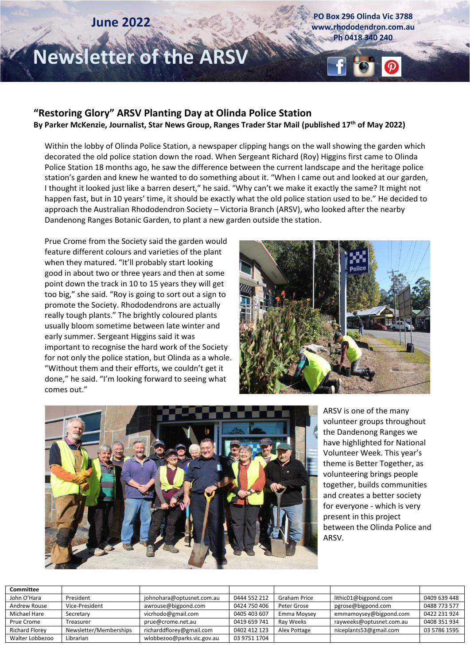# **June 2022**

**PO Box 296 Olinda Vic 3788 www.rhododendron.com.au Ph 0418 340 240**

# **Newsletter of the ARSV**

#### **"Restoring Glory" ARSV Planting Day at Olinda Police Station By Parker McKenzie, Journalist, Star News Group, Ranges Trader Star Mail (published 17th of May 2022)**

Within the lobby of Olinda Police Station, a newspaper clipping hangs on the wall showing the garden which decorated the old police station down the road. When Sergeant Richard (Roy) Higgins first came to Olinda Police Station 18 months ago, he saw the difference between the current landscape and the heritage police station's garden and knew he wanted to do something about it. "When I came out and looked at our garden, I thought it looked just like a barren desert," he said. "Why can't we make it exactly the same? It might not happen fast, but in 10 years' time, it should be exactly what the old police station used to be." He decided to approach the Australian Rhododendron Society – Victoria Branch (ARSV), who looked after the nearby Dandenong Ranges Botanic Garden, to plant a new garden outside the station.

Prue Crome from the Society said the garden would feature different colours and varieties of the plant when they matured. "It'll probably start looking good in about two or three years and then at some point down the track in 10 to 15 years they will get too big," she said. "Roy is going to sort out a sign to promote the Society. Rhododendrons are actually really tough plants." The brightly coloured plants usually bloom sometime between late winter and early summer. Sergeant Higgins said it was important to recognise the hard work of the Society for not only the police station, but Olinda as a whole. "Without them and their efforts, we couldn't get it done," he said. "I'm looking forward to seeing what comes out."





ARSV is one of the many volunteer groups throughout the Dandenong Ranges we have highlighted for National Volunteer Week. This year's theme is Better Together, as volunteering brings people together, builds communities and creates a better society for everyone - which is very present in this project between the Olinda Police and ARSV.

| Committee             |                        |                            |              |                     |                          |              |
|-----------------------|------------------------|----------------------------|--------------|---------------------|--------------------------|--------------|
| John O'Hara           | President              | johnohara@optusnet.com.au  | 0444 552 212 | <b>Graham Price</b> | lithic01@bigpond.com     | 0409 639 448 |
| Andrew Rouse          | Vice-President         | awrouse@bigpond.com        | 0424 750 406 | Peter Grose         | pgrose@bigpond.com       | 0488 773 577 |
| Michael Hare          | Secretary              | vicrhodo@gmail.com         | 0405 403 607 | Emma Moysey         | emmamoysey@bigpond.com   | 0422 231 924 |
| Prue Crome            | Treasurer              | prue@crome.net.au          | 0419 659 741 | Ray Weeks           | rayweeks@optusnet.com.au | 0408 351 934 |
| <b>Richard Florev</b> | Newsletter/Memberships | richarddflorey@gmail.com   | 0402 412 123 | Alex Pottage        | niceplants53@gmail.com   | 03 5786 1595 |
| Walter Lobbezoo       | Librarian              | wlobbezoo@parks.vic.gov.au | 03 9751 1704 |                     |                          |              |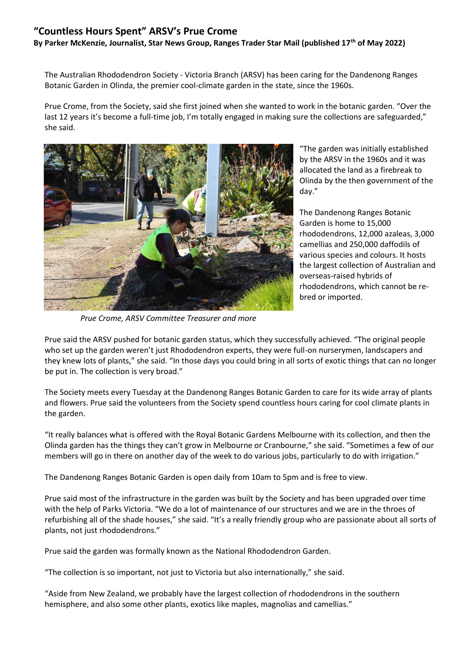#### **"Countless Hours Spent" ARSV's Prue Crome**

**By Parker McKenzie, Journalist, Star News Group, Ranges Trader Star Mail (published 17th of May 2022)**

The Australian Rhododendron Society - Victoria Branch (ARSV) has been caring for the Dandenong Ranges Botanic Garden in Olinda, the premier cool-climate garden in the state, since the 1960s.

Prue Crome, from the Society, said she first joined when she wanted to work in the botanic garden. "Over the last 12 years it's become a full-time job, I'm totally engaged in making sure the collections are safeguarded," she said.



*Prue Crome, ARSV Committee Treasurer and more*

"The garden was initially established by the ARSV in the 1960s and it was allocated the land as a firebreak to Olinda by the then government of the day."

The Dandenong Ranges Botanic Garden is home to 15,000 rhododendrons, 12,000 azaleas, 3,000 camellias and 250,000 daffodils of various species and colours. It hosts the largest collection of Australian and overseas-raised hybrids of rhododendrons, which cannot be rebred or imported.

Prue said the ARSV pushed for botanic garden status, which they successfully achieved. "The original people who set up the garden weren't just Rhododendron experts, they were full-on nurserymen, landscapers and they knew lots of plants," she said. "In those days you could bring in all sorts of exotic things that can no longer be put in. The collection is very broad."

The Society meets every Tuesday at the Dandenong Ranges Botanic Garden to care for its wide array of plants and flowers. Prue said the volunteers from the Society spend countless hours caring for cool climate plants in the garden.

"It really balances what is offered with the Royal Botanic Gardens Melbourne with its collection, and then the Olinda garden has the things they can't grow in Melbourne or Cranbourne," she said. "Sometimes a few of our members will go in there on another day of the week to do various jobs, particularly to do with irrigation."

The Dandenong Ranges Botanic Garden is open daily from 10am to 5pm and is free to view.

Prue said most of the infrastructure in the garden was built by the Society and has been upgraded over time with the help of Parks Victoria. "We do a lot of maintenance of our structures and we are in the throes of refurbishing all of the shade houses," she said. "It's a really friendly group who are passionate about all sorts of plants, not just rhododendrons."

Prue said the garden was formally known as the National Rhododendron Garden.

"The collection is so important, not just to Victoria but also internationally," she said.

"Aside from New Zealand, we probably have the largest collection of rhododendrons in the southern hemisphere, and also some other plants, exotics like maples, magnolias and camellias."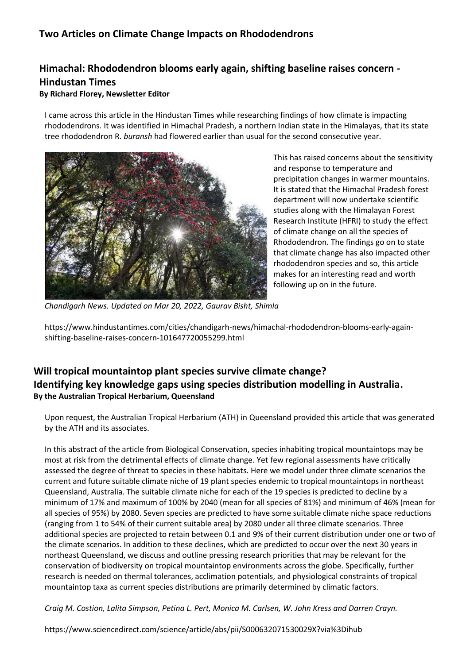## **Two Articles on Climate Change Impacts on Rhododendrons**

## **Himachal: Rhododendron blooms early again, shifting baseline raises concern - Hindustan Times**

#### **By Richard Florey, Newsletter Editor**

I came across this article in the Hindustan Times while researching findings of how climate is impacting rhododendrons. It was identified in Himachal Pradesh, a northern Indian state in the Himalayas, that its state tree rhododendron R. *buransh* had flowered earlier than usual for the second consecutive year.



This has raised concerns about the sensitivity and response to temperature and precipitation changes in warmer mountains. It is stated that the Himachal Pradesh forest department will now undertake scientific studies along with the Himalayan Forest Research Institute (HFRI) to study the effect of climate change on all the species of Rhododendron. The findings go on to state that climate change has also impacted other rhododendron species and so, this article makes for an interesting read and worth following up on in the future.

*Chandigarh News. Updated on Mar 20, 2022[, Gaurav Bisht,](https://www.hindustantimes.com/author/gaurav-bisht-101608310501846) Shimla*

https://www.hindustantimes.com/cities/chandigarh-news/himachal-rhododendron-blooms-early-againshifting-baseline-raises-concern-101647720055299.html

### **Will tropical mountaintop plant species survive climate change? Identifying key knowledge gaps using species distribution modelling in Australia. By the Australian Tropical Herbarium, Queensland**

Upon request, the Australian Tropical Herbarium (ATH) in Queensland provided this article that was generated by the ATH and its associates.

In this abstract of the article from Biological Conservation, species inhabiting tropical mountaintops may be most at risk from the detrimental effects of climate change. Yet few regional assessments have critically assessed the degree of threat to species in these habitats. Here we model under three climate scenarios the current and future suitable climate niche of 19 plant species endemic to tropical mountaintops in northeast Queensland, Australia. The suitable climate niche for each of the 19 species is predicted to decline by a minimum of 17% and maximum of 100% by 2040 (mean for all species of 81%) and minimum of 46% (mean for all species of 95%) by 2080. Seven species are predicted to have some suitable climate niche space reductions (ranging from 1 to 54% of their current suitable area) by 2080 under all three climate scenarios. Three additional species are projected to retain between 0.1 and 9% of their current distribution under one or two of the climate scenarios. In addition to these declines, which are predicted to occur over the next 30 years in northeast Queensland, we discuss and outline pressing research priorities that may be relevant for the conservation of biodiversity on tropical mountaintop environments across the globe. Specifically, further research is needed on thermal tolerances, acclimation potentials, and physiological constraints of tropical mountaintop taxa as current species distributions are primarily determined by climatic factors.

*Craig M. Costion, Lalita Simpson, Petina L. Pert, Monica M. Carlsen, W. John Kress and Darren Crayn.*

https://www.sciencedirect.com/science/article/abs/pii/S000632071530029X?via%3Dihub